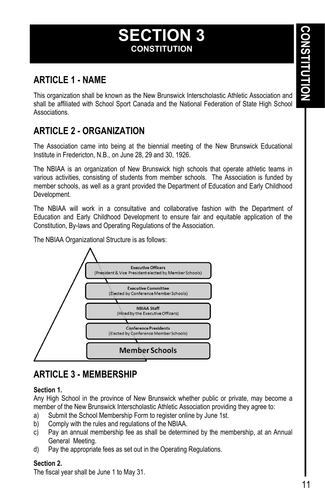# **SECTION 3 CONSTITUTION**

# **ARTICLE 1 - NAME**

This organization shall be known as the New Brunswick Interscholastic Athletic Association and shall be affiliated with School Sport Canada and the National Federation of State High School Associations.

# **ARTICLE 2 - ORGANIZATION**

The Association came into being at the biennial meeting of the New Brunswick Educational Institute in Fredericton, N.B., on June 28, 29 and 30, 1926.

The NBIAA is an organization of New Brunswick high schools that operate athletic teams in various activities, consisting of students from member schools. The Association is funded by member schools, as well as a grant provided the Department of Education and Early Childhood Development.

The NBIAA will work in a consultative and collaborative fashion with the Department of Education and Early Childhood Development to ensure fair and equitable application of the Constitution, By-laws and Operating Regulations of the Association.

The NBIAA Organizational Structure is as follows:



# **ARTICLE 3 - MEMBERSHIP**

### **Section 1.**

Any High School in the province of New Brunswick whether public or private, may become a member of the New Brunswick Interscholastic Athletic Association providing they agree to:

- a) Submit the School Membership Form to register online by June 1st.
- b) Comply with the rules and regulations of the NBIAA.
- c) Pay an annual membership fee as shall be determined by the membership, at an Annual General Meeting.
- d) Pay the appropriate fees as set out in the Operating Regulations.

### **Section 2.**

The fiscal year shall be June 1 to May 31.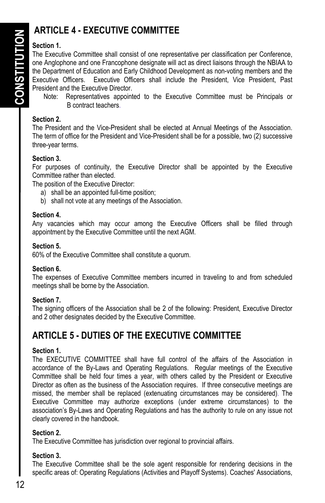# **ARTICLE 4 - EXECUTIVE COMMITTEE**

## **Section 1.**

The Executive Committee shall consist of one representative per classification per Conference, one Anglophone and one Francophone designate will act as direct liaisons through the NBIAA to the Department of Education and Early Childhood Development as non-voting members and the Executive Officers. Executive Officers shall include the President, Vice President, Past President and the Executive Director.

Note: Representatives appointed to the Executive Committee must be Principals or B contract teachers.

### **Section 2.**

The President and the Vice-President shall be elected at Annual Meetings of the Association. The term of office for the President and Vice-President shall be for a possible, two (2) successive three-year terms.

### **Section 3.**

For purposes of continuity, the Executive Director shall be appointed by the Executive Committee rather than elected.

The position of the Executive Director:

- a) shall be an appointed full-time position;
- b) shall not vote at any meetings of the Association.

### **Section 4.**

Any vacancies which may occur among the Executive Officers shall be filled through appointment by the Executive Committee until the next AGM.

### **Section 5.**

60% of the Executive Committee shall constitute a quorum.

## **Section 6.**

The expenses of Executive Committee members incurred in traveling to and from scheduled meetings shall be borne by the Association.

## **Section 7.**

The signing officers of the Association shall be 2 of the following: President, Executive Director and 2 other designates decided by the Executive Committee.

# **ARTICLE 5 - DUTIES OF THE EXECUTIVE COMMITTEE**

## **Section 1.**

The EXECUTIVE COMMITTEE shall have full control of the affairs of the Association in accordance of the By-Laws and Operating Regulations. Regular meetings of the Executive Committee shall be held four times a year, with others called by the President or Executive Director as often as the business of the Association requires. If three consecutive meetings are missed, the member shall be replaced (extenuating circumstances may be considered). The Executive Committee may authorize exceptions (under extreme circumstances) to the association's By-Laws and Operating Regulations and has the authority to rule on any issue not clearly covered in the handbook.

## **Section 2.**

The Executive Committee has jurisdiction over regional to provincial affairs.

## **Section 3.**

The Executive Committee shall be the sole agent responsible for rendering decisions in the specific areas of: Operating Regulations (Activities and Playoff Systems). Coaches' Associations,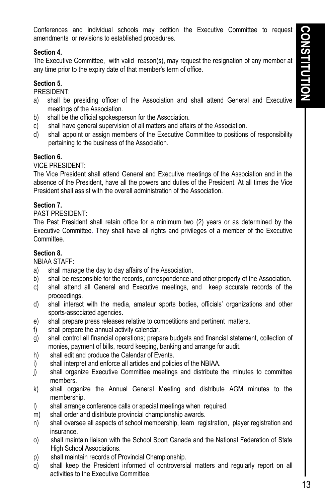Conferences and individual schools may petition the Executive Committee to request amendments or revisions to established procedures.

#### **Section 4.**

The Executive Committee, with valid reason(s), may request the resignation of any member at any time prior to the expiry date of that member's term of office.

### **Section 5.**

PRESIDENT:

- a) shall be presiding officer of the Association and shall attend General and Executive meetings of the Association.
- b) shall be the official spokesperson for the Association.
- c) shall have general supervision of all matters and affairs of the Association.
- d) shall appoint or assign members of the Executive Committee to positions of responsibility pertaining to the business of the Association.

#### **Section 6.**

VICE PRESIDENT:

The Vice President shall attend General and Executive meetings of the Association and in the absence of the President, have all the powers and duties of the President. At all times the Vice President shall assist with the overall administration of the Association.

#### **Section 7.**

PAST PRESIDENT:

The Past President shall retain office for a minimum two (2) years or as determined by the Executive Committee. They shall have all rights and privileges of a member of the Executive Committee.

#### **Section 8.**

NBIAA STAFF:

- a) shall manage the day to day affairs of the Association.
- b) shall be responsible for the records, correspondence and other property of the Association.
- c) shall attend all General and Executive meetings, and keep accurate records of the proceedings.
- d) shall interact with the media, amateur sports bodies, officials' organizations and other sports-associated agencies.
- e) shall prepare press releases relative to competitions and pertinent matters.
- f) shall prepare the annual activity calendar.
- g) shall control all financial operations; prepare budgets and financial statement, collection of monies, payment of bills, record keeping, banking and arrange for audit.
- h) shall edit and produce the Calendar of Events.
- i) shall interpret and enforce all articles and policies of the NBIAA.
- j) shall organize Executive Committee meetings and distribute the minutes to committee members.
- k) shall organize the Annual General Meeting and distribute AGM minutes to the membership.
- l) shall arrange conference calls or special meetings when required.
- m) shall order and distribute provincial championship awards.
- n) shall oversee all aspects of school membership, team registration, player registration and insurance.
- o) shall maintain liaison with the School Sport Canada and the National Federation of State High School Associations.
- p) shall maintain records of Provincial Championship.
- q) shall keep the President informed of controversial matters and regularly report on all activities to the Executive Committee.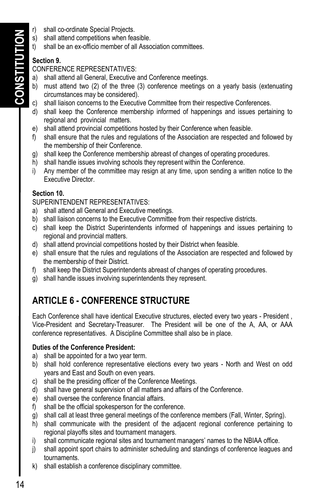- **CONSTITUTION**  CONSTITUTION
- r) shall co-ordinate Special Projects.
- s) shall attend competitions when feasible.
- t) shall be an ex-officio member of all Association committees.

## **Section 9.**

#### CONFERENCE REPRESENTATIVES:

- a) shall attend all General, Executive and Conference meetings.
- b) must attend two (2) of the three (3) conference meetings on a yearly basis (extenuating circumstances may be considered).
- c) shall liaison concerns to the Executive Committee from their respective Conferences.
- d) shall keep the Conference membership informed of happenings and issues pertaining to regional and provincial matters.
- e) shall attend provincial competitions hosted by their Conference when feasible.
- f) shall ensure that the rules and regulations of the Association are respected and followed by the membership of their Conference.
- g) shall keep the Conference membership abreast of changes of operating procedures.
- h) shall handle issues involving schools they represent within the Conference.
- i) Any member of the committee may resign at any time, upon sending a written notice to the Executive Director.

### **Section 10.**

SUPERINTENDENT REPRESENTATIVES:

- a) shall attend all General and Executive meetings.
- b) shall liaison concerns to the Executive Committee from their respective districts.
- c) shall keep the District Superintendents informed of happenings and issues pertaining to regional and provincial matters.
- d) shall attend provincial competitions hosted by their District when feasible.
- e) shall ensure that the rules and regulations of the Association are respected and followed by the membership of their District.
- f) shall keep the District Superintendents abreast of changes of operating procedures.
- g) shall handle issues involving superintendents they represent.

# **ARTICLE 6 - CONFERENCE STRUCTURE**

Each Conference shall have identical Executive structures, elected every two years - President , Vice-President and Secretary-Treasurer. The President will be one of the A, AA, or AAA conference representatives. A Discipline Committee shall also be in place.

### **Duties of the Conference President:**

- a) shall be appointed for a two year term.
- b) shall hold conference representative elections every two years North and West on odd years and East and South on even years.
- c) shall be the presiding officer of the Conference Meetings.
- d) shall have general supervision of all matters and affairs of the Conference.
- e) shall oversee the conference financial affairs.
- f) shall be the official spokesperson for the conference.
- g) shall call at least three general meetings of the conference members (Fall, Winter, Spring).
- h) shall communicate with the president of the adjacent regional conference pertaining to regional playoffs sites and tournament managers.
- i) shall communicate regional sites and tournament managers' names to the NBIAA office.
- j) shall appoint sport chairs to administer scheduling and standings of conference leagues and tournaments.
- k) shall establish a conference disciplinary committee.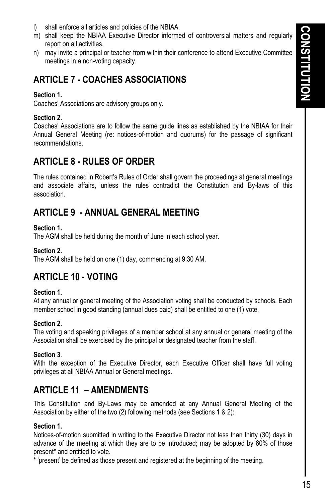- l) shall enforce all articles and policies of the NBIAA.
- m) shall keep the NBIAA Executive Director informed of controversial matters and regularly report on all activities.
- n) may invite a principal or teacher from within their conference to attend Executive Committee meetings in a non-voting capacity.

# **ARTICLE 7 - COACHES ASSOCIATIONS**

#### **Section 1.**

Coaches' Associations are advisory groups only.

#### **Section 2.**

Coaches' Associations are to follow the same guide lines as established by the NBIAA for their Annual General Meeting (re: notices-of-motion and quorums) for the passage of significant recommendations.

# **ARTICLE 8 - RULES OF ORDER**

The rules contained in Robert's Rules of Order shall govern the proceedings at general meetings and associate affairs, unless the rules contradict the Constitution and By-laws of this association.

# **ARTICLE 9 - ANNUAL GENERAL MEETING**

#### **Section 1.**

The AGM shall be held during the month of June in each school year.

#### **Section 2.**

The AGM shall be held on one (1) day, commencing at 9:30 AM.

# **ARTICLE 10 - VOTING**

#### **Section 1.**

At any annual or general meeting of the Association voting shall be conducted by schools. Each member school in good standing (annual dues paid) shall be entitled to one (1) vote.

### **Section 2.**

The voting and speaking privileges of a member school at any annual or general meeting of the Association shall be exercised by the principal or designated teacher from the staff.

#### **Section 3**.

With the exception of the Executive Director, each Executive Officer shall have full voting privileges at all NBIAA Annual or General meetings.

# **ARTICLE 11 – AMENDMENTS**

This Constitution and By-Laws may be amended at any Annual General Meeting of the Association by either of the two (2) following methods (see Sections 1 & 2):

#### **Section 1.**

Notices-of-motion submitted in writing to the Executive Director not less than thirty (30) days in advance of the meeting at which they are to be introduced; may be adopted by 60% of those present\* and entitled to vote.

\* 'present' be defined as those present and registered at the beginning of the meeting.